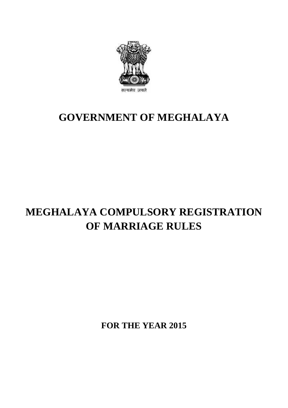

### **GOVERNMENT OF MEGHALAYA**

### **MEGHALAYA COMPULSORY REGISTRATION OF MARRIAGE RULES**

**FOR THE YEAR 2015**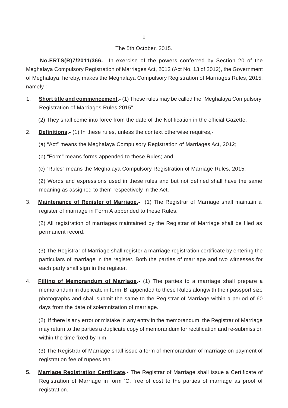# 1<br>The 5th October, 2015.<br>Secondisc of the powers of

The 5th October, 2015.<br>**No.ERTS(R)7/2011/366.**—In exercise of the powers conferred by Section 20 of the<br>Meghalaya Compulsory Registration of Marriages Act, 2012 (Act No. 13 of 2012), the Government The 5th October, 2015.<br> **No.ERTS(R)7/2011/366.**—In exercise of the powers conferred by Section 20 of the<br>
Meghalaya Compulsory Registration of Marriages Act, 2012 (Act No. 13 of 2012), the Government<br>
of Meghalaya, hereby, The 5th October, 2015.<br> **No.ERTS(R)7/2011/366.**—In exercise of the powers conferred by Section 20 of the<br>
Meghalaya Compulsory Registration of Marriages Act, 2012 (Act No. 13 of 2012), the Government<br>
of Meghalaya, hereby, **No.ERT:**<br>Meghalaya Co<br>of Meghalaya,<br>namely :-<br>**1** Short title Meghalaya Compulsory Registration of Marriages Act, 2012 (Act No. 13 of 2012), the Government<br>of Meghalaya, hereby, makes the Meghalaya Compulsory Registration of Marriages Rules, 2015,<br>namely :-<br>**Short title and commencem** 

- ghalaya, hereby, makes the Meghalaya Corporation of Marriages Rules 2015".<br>Registration of Marriages Rules 2015".<br>Registration of Marriages Rules 2015".<br>(2) They shall come into force from the date Short title and commencement.- (1) These rules may be called the "Meghalaya Compulson<br>Registration of Marriages Rules 2015".<br>(2) They shall come into force from the date of the Notification in the official Gazette.<br>Definit Registration of Marriages Rules 2015".<br>
(2) They shall come into force from the date of the Notification in the official<br>
2. **Definitions.**- (1) In these rules, unless the context otherwise requires,-<br>
(a) "Act" means the
	- (2) They shall come into force from the date of the Notification in the official Gazette.<br> **Definitions.** (1) In these rules, unless the context otherwise requires,-<br>
	(a) "Act" means the Meghalaya Compulsory Registration
- 
- **Definitions.-** (1) In these rules, unless the context otherwise re<br>(a) "Act" means the Meghalaya Compulsory Registration of Mar<br>(b) "Form" means forms appended to these Rules; and<br>(c) "Bules" means the Meghalaya Compulsor
	-
	- (a) "Act" means the Meghalaya Compulsory Registration of Marriages Act, 2012;<br>(b) "Form" means forms appended to these Rules; and<br>(c) "Rules" means the Meghalaya Compulsory Registration of Marriage Rules, 2015.<br>(2) Words a

(b) "Form" means forms appended to these Rules; and<br>(c) "Rules" means the Meghalaya Compulsory Registration of Marriage Rules, 2015.<br>(2) Words and expressions used in these rules and but not defined shall have the same<br>mea (c) "Rules" means the Meghalaya Compulsory Registratio<br>(2) Words and expressions used in these rules and but<br>meaning as assigned to them respectively in the Act.<br>Maintenance of Pegister of Marriage (4) The Begister

(b) Transo means the Meghalaya Compallory Registration of Marnage Rafee, 2010.<br>
(2) Words and expressions used in these rules and but not defined shall have the same<br>
meaning as assigned to them respectively in the Act.<br>
3 (2) Words and expressions used in these rules and but not<br>meaning as assigned to them respectively in the Act.<br>**Maintenance of Register of Marriage.** (1) The Registrar<br>register of marriage in Form A appended to these Rules Maintenance of Register of Marriage.- (1) The Registrar of Marriage shall maintain a register of marriage in Form A appended to these Rules.<br>(2) All registration of marriages maintained by the Registrar of Marriage shall b

register of marriage in Form A appended to these Rules.<br>(2) All registration of marriages maintained by the Registrar of Marriage shall be filed as permanent record.

(2) All registration of marriages maintained by the Registrar of Marriage shall be filed as<br>permanent record.<br>(3) The Registrar of Marriage shall register a marriage registration certificate by entering the<br>particulars of permanent record.<br>(3) The Registrar of Marriage shall register a marriage registration certificate by entering the<br>particulars of marriage in the register. Both the parties of marriage and two witnesses for<br>each party shal (3) The Registrar of Marriage shall regist<br>particulars of marriage in the register. E<br>each party shall sign in the register. 4. **Filling of Memorandum of Marriage.**<br>4. **Filling of Memorandum of Marriage.**- (1) The parties to a marriage shall prepare a memorandum in duplicate in form 'B' appended to these Rules alongwith their passport size

particulars of marriage in the register. Both the parties of marriage and two witnesses for<br>each party shall sign in the register.<br>Filling of Memorandum of Marriage.- (1) The parties to a marriage shall prepare a<br>memorandu each party shall sign in the register.<br>Filling of Memorandum of Marriage.- (1) The parties to a marriage shall prepare a<br>memorandum in duplicate in form 'B' appended to these Rules alongwith their passport size<br>photographs Filling of Memorandum of Marriage.- (1) The parameter of memorandum in duplicate in form 'B' appended to the photographs and shall submit the same to the Registalys from the date of solemnization of marriage. memorandum in duplicate in form 'B' appended to these Rules alongwith their passport size<br>photographs and shall submit the same to the Registrar of Marriage within a period of 60<br>days from the date of solemnization of marr

photographs and shall submit the same to the Registrar of Marriage within a period of 60<br>days from the date of solemnization of marriage.<br>(2) If there is any error or mistake in any entry in the memorandum, the Registrar o days from the date of solemniza<br>(2) If there is any error or mistake<br>may return to the parties a duplic:<br>within the time fixed by him.<br>(2) The Registrate of Marriers abo (2) If there is any error or mistake in any entry in the memorandum, the Registrar of Marriage<br>may return to the parties a duplicate copy of memorandum for rectification and re-submission<br>within the time fixed by him.<br>(3)

may return to the parties a duplicat<br>within the time fixed by him.<br>(3) The Registrar of Marriage shall<br>registration fee of rupees ten.<br>Marriage Registration Certifiest

**5. Marriage Registration Certificate.**<br> **5. Marriage Registration Certificate.**<br> **5. Marriage Registration Certificate.**<br> **5. Marriage Registration Certificate.**<br> **5. Marriage Registration Certificate.**<br> **5. Marriage Regi** registration fee of rupees ten.<br> **Marriage Registration Certificate.** The Registrar of Marriage shall issue a Certificate of<br>
Registration of Marriage in form 'C, free of cost to the parties of marriage as proof of registration.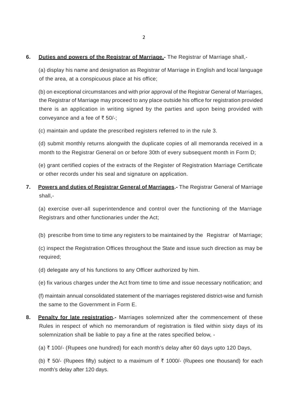# <sup>2</sup><br> **6. Duties and powers of the Registrar of Marriage.-** The Registrar of Marriage shall,-<br> **6. Duties and powers of the Registrar** of Marriage in English and local language

(a) display his name and designation as Registrar of Marriage in English and local language **Duties and powers of the Registrar of Marriage.**<br>(a) display his name and designation as Registrar of lot the area, at a conspicuous place at his office;

(a) display his name and designation as Registrar of Marriage in English and local language<br>of the area, at a conspicuous place at his office;<br>(b) on exceptional circumstances and with prior approval of the Registrar Gener (a) display his name and designation as Registrar of Marriage in English and local language<br>of the area, at a conspicuous place at his office;<br>(b) on exceptional circumstances and with prior approval of the Registrar Gener of the area, at a conspicuous place at his office;<br>(b) on exceptional circumstances and with prior approval of the Registrar General of Marriages,<br>the Registrar of Marriage may proceed to any place outside his office for (b) on exceptional circumstances and<br>the Registrar of Marriage may procee<br>there is an application in writing s<br>conveyance and a fee of  $\overline{z}$  50/-; the Registrar of Marriage may proceed to any place outside his office for registration provided<br>there is an application in writing signed by the parties and upon being provided with<br>conveyance and a fee of  $\overline{\tau}$  50/-;<br>

(c) maintain and update the prescribed registers referred to in the rule 3.<br>
(d) submit monthly returns alongwith the duplicate copies of all memoranda received in a<br>
month to the Registrar General on or before 30th of ev (c) maintain and update the prescribed registers referred to in the rule 3.<br>
(d) submit monthly returns alongwith the duplicate copies of all memoranda received in a<br>
month to the Registrar General on or before 30th of eve

(d) submit monthly returns alongwith the duplicate copies of all memoranda received in a<br>month to the Registrar General on or before 30th of every subsequent month in Form D;<br>(e) grant certified copies of the extracts of t month to the Registrar General on or before 30th of every subsequent month in Form D;<br>(e) grant certified copies of the extracts of the Register of Registration Marriage Certificate<br>or other records under his seal and sign

**7. Powers and duties of Registrar General of Marriages.**- The Registration Marriage Certificate<br> **7. Powers and duties of Registrar General of Marriages.**- The Registrar General of Marriage<br>
shall,shall,- Powers and duties of Registrar General of Marriages.- The Registrar General of Marriage<br>shall,-<br>(a) exercise over-all superintendence and control over the functioning of the Marriage<br>Registrars and other functionaries unde

(a) exercise over-all superintendence and control over the functioning of the Marriage Registrars and other functionaries under the Act; (a) exercise over-all superintendence and control over the functioning of the Marriage<br>Registrars and other functionaries under the Act;<br>(b) prescribe from time to time any registers to be maintained by the Registrar of M

Registrars and other functionaries under the Act;<br>
(b) prescribe from time to time any registers to be maintained by the Registrar of Marriage;<br>
(c) inspect the Registration Offices throughout the State and issue such dire required; (c) inspect the Registration Offices throughout the State and issue such direction as may be required;<br>(d) delegate any of his functions to any Officer authorized by him. (d) delegate any of his functions to any Officer authorized by him.<br>
(e) fix various charges under the Act from time to time and issue necessary notification; and<br>
(f) meintain annual accordidated attempt of the merriages

- 
- 

(d) delegate any of his functions to any Officer authorized by him.<br>(e) fix various charges under the Act from time to time and issue necessary notification; and<br>(f) maintain annual consolidated statement of the marriages (e) fix various charges under the Act from tim<br>
(f) maintain annual consolidated statement of the same to the Government in Form E.<br>
Repetty for late registesian. Merriages of the same to the Government in Form E.<br>**Penalty for late registration.**- Marriages solemnized after the commencement of these

**19. It is a the same to the Government in Form E.**<br> **8. Penalty for late registration.**- Marriages solemnized after the commencement of these<br>
Rules in respect of which no memorandum of registration is filed within sixty solemnization shall be liable to pay a fine at the rates specified below, -<br>(a)  $\overline{\xi}$  100/- (Rupees one hundred) for each month's delay after 60 days upto 120 Days. Rules in respect of which no memorandum of registration is filed within sixty days of its

(b)  $\bar{\tau}$  50/- (Rupees fifty) subject to a maximum of  $\bar{\tau}$  1000/- (Rupees one thousand) for each month's delay after 120 days.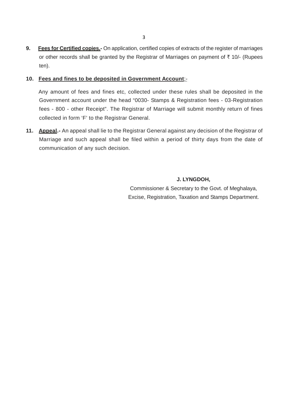**9.** Fees for Certified copies.- On application, certified copies of extracts of the register of marriages<br>or other records shall be granted by the Registrar of Marriages on payment of ₹ 10/- (Rupees or other records shall be granted by the Registrar of Marriages on payment of ₹ 10/- (Rupees<br>ten). ten). **9.** Fees for Certified copies.- On application, certified copies of extracts of the register of marriages or other records shall be granted by the Registrar of Marriages on payment of  $\overline{x}$  10/- (Rupees ten).<br>**10.** Fee

Fees and fines to be deposited in Government Account:-<br>Any amount of fees and fines etc, collected under these rules shall be deposited in the<br>Government account under the head "0030- Stamps & Registration fees - 03-Regist Fees and fines to be deposited in Government Account:-<br>Any amount of fees and fines etc, collected under these rules shall be deposited in the<br>Government account under the head "0030- Stamps & Registration fees - 03-Regist Fees and fines to be deposited in Government Account:-<br>Any amount of fees and fines etc, collected under these rules shall be deposited in the<br>Government account under the head "0030- Stamps & Registration fees - 03-Regist Any amount of fees and fines etc, collected unc<br>Government account under the head "0030- Star<br>fees - 800 - other Receipt". The Registrar of Ma<br>collected in form 'F' to the Registrar General. **11. Appeal.**- An appeal shall lie to the Registrar General against any decision of the Registration<br>11. **Appeal.**- An appeal shall lie to the Registrar General against any decision of the Registrar of<br>11. **Appeal.**- An ap

fees - 800 - other Receipt". The Registrar of Marriage will submit monthly return of fines<br>collected in form 'F' to the Registrar General.<br>**Appeal.** - An appeal shall lie to the Registrar General against any decision of th collected in form 'F' to the Registrar Gene<br>**Appeal**.- An appeal shall lie to the Registr<br>Marriage and such appeal shall be filed<br>communication of any such decision.

**J. LYNGDOH,** Commissioner & Secretary to the Govt. of Meghalaya, J. LYNGDOH,<br>Commissioner & Secretary to the Govt. of Meghalaya,<br>Excise, Registration, Taxation and Stamps Department.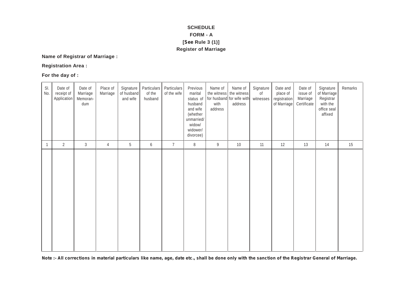### **SCHEDULE FORM - A SCHEDULE<br>FORM - A<br>[See Rule 3 (1)]<br>gister of Marriage SCHEDULE<br>FORM - A<br>[See Rule 3 (1)]<br>Register of Marriage**

## **Name of Registrar of Marriage : Name of Registrar of Ma<br>Registration Area :<br>For the day of :**

|              |                                      |                                        |                      |                                     |                                  |                            | <b>Register of Marriage</b>                                                                                          |                            |                                                                            |                              |                                                     |                                                |                                                                             |         |
|--------------|--------------------------------------|----------------------------------------|----------------------|-------------------------------------|----------------------------------|----------------------------|----------------------------------------------------------------------------------------------------------------------|----------------------------|----------------------------------------------------------------------------|------------------------------|-----------------------------------------------------|------------------------------------------------|-----------------------------------------------------------------------------|---------|
|              | Name of Registrar of Marriage :      |                                        |                      |                                     |                                  |                            |                                                                                                                      |                            |                                                                            |                              |                                                     |                                                |                                                                             |         |
|              | <b>Registration Area:</b>            |                                        |                      |                                     |                                  |                            |                                                                                                                      |                            |                                                                            |                              |                                                     |                                                |                                                                             |         |
|              | For the day of :                     |                                        |                      |                                     |                                  |                            |                                                                                                                      |                            |                                                                            |                              |                                                     |                                                |                                                                             |         |
| SI.<br>No.   | Date of<br>receipt of<br>Application | Date of<br>Marriage<br>Memoran-<br>dum | Place of<br>Marriage | Signature<br>of husband<br>and wife | Particulars<br>of the<br>husband | Particulars<br>of the wife | Previous<br>marital<br>status of<br>husband<br>and wife<br>(whether<br>unmarried/<br>widow/<br>widower/<br>divorcee) | Name of<br>with<br>address | Name of<br>the witness the witness<br>for husband for wife with<br>address | Signature<br>0f<br>witnesses | Date and<br>place of<br>registration<br>of Marriage | Date of<br>issue of<br>Marriage<br>Certificate | Signature<br>of Marriage<br>Registrar<br>with the<br>office seal<br>affixed | Remarks |
| $\mathbf{1}$ | $\overline{2}$                       | $\mathfrak{Z}$                         | $\sqrt{4}$           | 5                                   | 6                                | $\overline{7}$             | $\, 8$                                                                                                               | 9                          | 10                                                                         | 11                           | 12                                                  | 13                                             | 14                                                                          | 15      |
|              |                                      |                                        |                      |                                     |                                  |                            |                                                                                                                      |                            |                                                                            |                              |                                                     |                                                |                                                                             |         |

*Note :- All corrections in material particulars like name, age, date etc., shall be done only with the sanction of the Registrar General of Marriage.*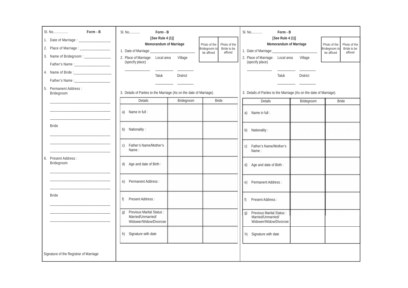|                                                                                      | Form - B<br>SI. No                                                                                  |                                                                                       | SI. No<br>Form - B                                                              |                                                                                       |
|--------------------------------------------------------------------------------------|-----------------------------------------------------------------------------------------------------|---------------------------------------------------------------------------------------|---------------------------------------------------------------------------------|---------------------------------------------------------------------------------------|
| 1. Date of Marriage : _________________<br>2. Place of Marriage : __________________ | [See Rule 4 (1)]<br>Memorandum of Marriage                                                          | Photo of the<br>Photo of the<br>Bridegroom to<br>Bride to be<br>affixed<br>be affixed | [See Rule 4 (1)]<br>Memorandum of Marriage                                      | Photo of the<br>Photo of the<br>Bridegroom to<br>Bride to be<br>be affixed<br>affixed |
| 3. Name of Bridegroom : ______________                                               | 2. Place of Marriage: Local area<br>(specify place)                                                 | Village                                                                               | 2. Place of Marriage: Local area<br>(specify place)                             | Village                                                                               |
|                                                                                      | Taluk                                                                                               | <b>District</b>                                                                       | Taluk                                                                           | <b>District</b>                                                                       |
| 5. Permanent Address:<br>Bridegroom                                                  | 3. Details of Parties to the Marriage (As on the date of Marriage).                                 |                                                                                       | 3. Details of Parties to the Marriage (As on the date of Marriage).             |                                                                                       |
|                                                                                      | Details                                                                                             | <b>Bride</b><br>Bridegroom                                                            | Details                                                                         | Bridegroom<br><b>Bride</b>                                                            |
|                                                                                      | a) Name in full:                                                                                    |                                                                                       | a) Name in full:                                                                |                                                                                       |
| <b>Bride</b>                                                                         | b) Nationality:                                                                                     |                                                                                       | b) Nationality:                                                                 |                                                                                       |
|                                                                                      | Father's Name/Mother's<br>C)<br>Name:                                                               |                                                                                       | Father's Name/Mother's<br>C)<br>Name:                                           |                                                                                       |
| 6. Present Address:<br>Bridegroom                                                    | d) Age and date of Birth:                                                                           |                                                                                       | d) Age and date of Birth :                                                      |                                                                                       |
|                                                                                      | Permanent Address:<br>e)                                                                            |                                                                                       | Permanent Address:<br>e)                                                        |                                                                                       |
| <b>Bride</b>                                                                         | Present Address:<br>f)                                                                              |                                                                                       | Present Address:                                                                |                                                                                       |
|                                                                                      | <b>Previous Marital Status:</b><br>$\mathfrak{g}$ )<br>Married/Unmarried/<br>Widower/Widow/Divorcee |                                                                                       | Previous Marital Status :<br>q)<br>Married/Unmarried/<br>Widower/Widow/Divorcee |                                                                                       |
|                                                                                      | h) Signature with date                                                                              |                                                                                       | h) Signature with date                                                          |                                                                                       |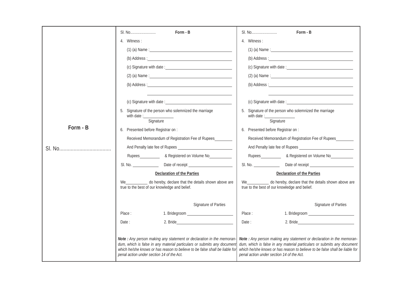|          | Form - B                                                                                                                                                                                                                                                                    | Form - B                                                                                                                                                                                                                                                                    |
|----------|-----------------------------------------------------------------------------------------------------------------------------------------------------------------------------------------------------------------------------------------------------------------------------|-----------------------------------------------------------------------------------------------------------------------------------------------------------------------------------------------------------------------------------------------------------------------------|
|          | 4. Witness:                                                                                                                                                                                                                                                                 | 4. Witness:                                                                                                                                                                                                                                                                 |
|          |                                                                                                                                                                                                                                                                             |                                                                                                                                                                                                                                                                             |
|          |                                                                                                                                                                                                                                                                             |                                                                                                                                                                                                                                                                             |
|          |                                                                                                                                                                                                                                                                             | (c) Signature with date :                                                                                                                                                                                                                                                   |
|          | (2) (a) Name : $\frac{1}{2}$                                                                                                                                                                                                                                                | (2) (a) Name : $\frac{1}{2}$                                                                                                                                                                                                                                                |
|          |                                                                                                                                                                                                                                                                             |                                                                                                                                                                                                                                                                             |
|          | (c) Signature with date :                                                                                                                                                                                                                                                   |                                                                                                                                                                                                                                                                             |
|          | 5. Signature of the person who solemnized the marriage                                                                                                                                                                                                                      | 5. Signature of the person who solemnized the marriage                                                                                                                                                                                                                      |
|          |                                                                                                                                                                                                                                                                             |                                                                                                                                                                                                                                                                             |
| Form - B | 6. Presented before Registrar on :                                                                                                                                                                                                                                          | 6. Presented before Registrar on :                                                                                                                                                                                                                                          |
|          | Received Memorandum of Registration Fee of Rupees                                                                                                                                                                                                                           | Received Memorandum of Registration Fee of Rupees                                                                                                                                                                                                                           |
|          |                                                                                                                                                                                                                                                                             |                                                                                                                                                                                                                                                                             |
|          | Rupees ______________ & Registered on Volume No_____________                                                                                                                                                                                                                | Rupees<br>28 Registered on Volume No<br>2012                                                                                                                                                                                                                                |
|          | SI. No. ______________                                                                                                                                                                                                                                                      | SI. No. ______________________Date of receipt __________________________________                                                                                                                                                                                            |
|          | Declaration of the Parties                                                                                                                                                                                                                                                  | Declaration of the Parties                                                                                                                                                                                                                                                  |
|          | We _____________ do hereby, declare that the details shown above are<br>true to the best of our knowledge and belief.                                                                                                                                                       | We _____________ do hereby, declare that the details shown above are<br>true to the best of our knowledge and belief.                                                                                                                                                       |
|          | Signature of Parties                                                                                                                                                                                                                                                        | <b>Signature of Parties</b>                                                                                                                                                                                                                                                 |
|          | Place:                                                                                                                                                                                                                                                                      | Place:                                                                                                                                                                                                                                                                      |
|          | Date:<br>2. Bride                                                                                                                                                                                                                                                           | 2. Bride_<br>Date :                                                                                                                                                                                                                                                         |
|          | Note: Any person making any statement or declaration in the memoran-<br>dum, which is false in any material particulars or submits any document<br>which he/she knows or has reason to believe to be false shall be liable for<br>penal action under section 14 of the Act. | Note: Any person making any statement or declaration in the memoran-<br>dum, which is false in any material particulars or submits any document<br>which he/she knows or has reason to believe to be false shall be liable for<br>penal action under section 14 of the Act. |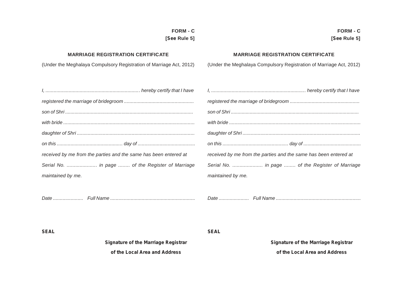## **[***See* **Rule 5] [***See* **Rule 5]**

**FORM - C FORM - C**

See Rule 5]<br>MARRIAGE REGISTRATION CERTIFICATE<br>(Under the Meghalaya Compulsory Registration of Marriage Act, 2012) (Under the Meghalaya Compulsory Registration of Marriage Act, 2012)<br>(Under the Meghalaya Compulsory Registra

**FORM - C**<br>5 See Rule 5] [See Rule 5]<br>MARRIAGE REGISTRATION CERTIFICATE MARRIAGE REGISTRATION CERTIFICATE<br>Meghalaya Compulsory Registration of Marriage Act, 2012) (Under the Meghalaya Compulsory Registration of Marriage Ac

| received by me from the parties and the same has been entered at | received by me from the parties and the same has been entered at |
|------------------------------------------------------------------|------------------------------------------------------------------|
| Serial No.  in page  of the Register of Marriage                 |                                                                  |
| maintained by me.                                                | maintained by me.                                                |
|                                                                  |                                                                  |
|                                                                  |                                                                  |
|                                                                  |                                                                  |

*I, ..................................................................... hereby certify that I have I, ..................................................................... hereby certify that I have registered the marriage of bridegroom ................................................... registered the marriage of bridegroom ................................................... son of Shri ............................................................................................... son of Shri ............................................................................................... with bride ................................................................................................ with bride ................................................................................................ daughter of Shri ...................................................................................... daughter of Shri ...................................................................................... on this ................................................ day of .......................................... on this ................................................ day of .......................................... Serial No. ..................... in page ........ of the Register of Marriage Serial No. ..................... in page ........ of the Register of Marriage*

*SEAL SEAL*

*Signature of the Marriage Registrar Signature of the Marriage Registrar* **SEAL**<br>gnature of the Marriage Registrar **of the Local Area and Address**<br>of the Local Area and Address<br>of the Local Area and Address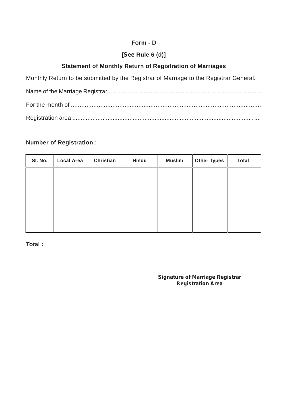# **Form - D**

## **Form - D**<br>**[See Rule 6 (d)]**<br>**Statement of Monthly Return of Registration of Marriages Form - D<br>
[See Rule 6 (d)]<br>
Statement of Monthly Return of Registration of Marriages<br>
rn to be submitted by the Registrar of Marriage to the Registrar Gener**

Statement of Monthly Return of Registration of Marriages<br>Monthly Return to be submitted by the Registrar of Marriage to the Registrar General.<br>Name of the Marriage Registrar

| <b>Statement of Monthly Return of Registration of Marriages</b>                       |
|---------------------------------------------------------------------------------------|
| Monthly Return to be submitted by the Registrar of Marriage to the Registrar General. |
|                                                                                       |
|                                                                                       |
|                                                                                       |
|                                                                                       |

## **Number of Registration :**

| SI. No. | <b>Local Area</b> | Christian | Hindu | <b>Muslim</b> | <b>Other Types</b> | <b>Total</b> |
|---------|-------------------|-----------|-------|---------------|--------------------|--------------|
|         |                   |           |       |               |                    |              |
|         |                   |           |       |               |                    |              |
|         |                   |           |       |               |                    |              |
|         |                   |           |       |               |                    |              |
|         |                   |           |       |               |                    |              |

*Signature of Marriage Registrar Registration Area*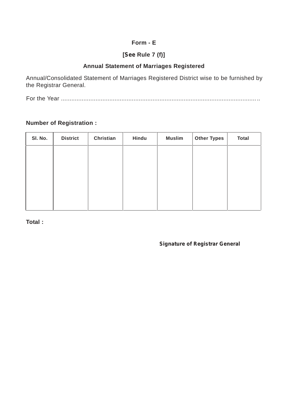# **Form - E**

## **Form - E**<br>**[See Rule 7 (f)]**<br>Annual Statement of Marriages Registered **Form - E<br>
[See Rule 7 (f)]<br>
Annual Statement of Marriages Registered<br>
Statement of Marriages Registered District wise to be to**

Statement of Marriages Registered<br>Annual/Consolidated Statement of Marriages Registered<br>the Registrar General. Annual/Consolidated State<br>the Registrar General.<br>Eer the Year For the Year ...................................................................................................................

**Number of Registration :**

| <b>District</b> | <b>Christian</b> | Hindu | <b>Muslim</b> | <b>Other Types</b> | <b>Total</b> |
|-----------------|------------------|-------|---------------|--------------------|--------------|
|                 |                  |       |               |                    |              |
|                 |                  |       |               |                    |              |
|                 |                  |       |               |                    |              |
|                 |                  |       |               |                    |              |
|                 |                  |       |               |                    |              |
|                 |                  |       |               |                    |              |

*Signature of Registrar General*